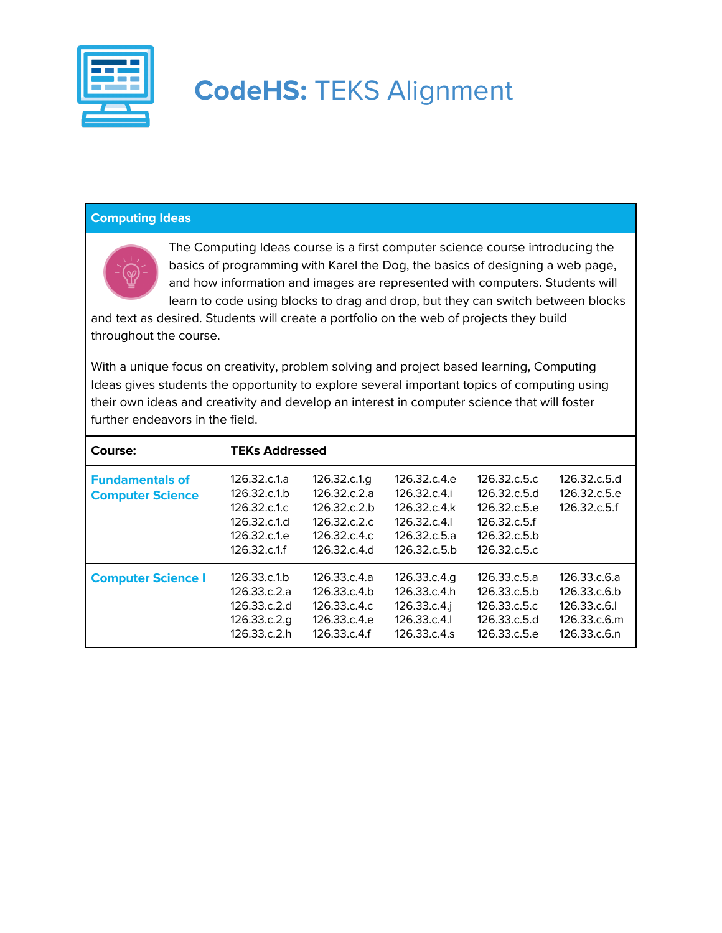

#### **Computing Ideas**



The Computing Ideas course is a first computer science course introducing the basics of programming with Karel the Dog, the basics of designing a web page, and how information and images are represented with computers. Students will learn to code using blocks to drag and drop, but they can switch between blocks

and text as desired. Students will create a portfolio on the web of projects they build throughout the course.

With a unique focus on creativity, problem solving and project based learning, Computing Ideas gives students the opportunity to explore several important topics of computing using their own ideas and creativity and develop an interest in computer science that will foster further endeavors in the field.

| Course:                                           | <b>TEKs Addressed</b>                                                                                  |                                                                                           |                                                                                         |                                                                                               |                                                                             |  |
|---------------------------------------------------|--------------------------------------------------------------------------------------------------------|-------------------------------------------------------------------------------------------|-----------------------------------------------------------------------------------------|-----------------------------------------------------------------------------------------------|-----------------------------------------------------------------------------|--|
| <b>Fundamentals of</b><br><b>Computer Science</b> | 126.32.c.1.a<br>126.32.c.1 <sub>b</sub><br>126.32.c.1.c<br>126.32.c.1.d<br>126.32.c.1.e<br>126.32.c.1f | 126.32.c.1.g<br>126.32c.2a<br>126.32.c.2.b<br>126.32.c.2.c.<br>126.32c.4c<br>126.32.c.4.d | 126.32.c.4.e<br>126.32c.4i<br>126.32.c.4.k<br>126.32.c.4.<br>126.32c.5a<br>126.32.c.5.b | 126.32.c.5.c<br>126.32.c.5.d<br>126.32.c.5.e<br>126.32.c.5.f<br>126.32.c.5.b<br>126.32.c.5.c. | 126.32.c.5.d<br>126.32.c.5.e<br>126.32.c.5.f                                |  |
| <b>Computer Science I</b>                         | 126.33.c.1 <sub>b</sub><br>126.33.c.2.a<br>126.33.c.2.d<br>126.33.c.2.g<br>126.33.c.2.h                | 126.33.c.4.a<br>126.33.c.4.b<br>126.33.c.4.c<br>126.33.c.4.e<br>126.33.c.4.f              | 126.33.c.4.g<br>126.33.c.4.h<br>126.33.c.4.j<br>126.33.c.4.1<br>126.33.c.4.s            | 126.33.c.5.a<br>126.33.c.5.b<br>126.33.c.5.c.<br>126.33.c.5.d<br>126.33.c.5.e                 | 126.33.c.6.a<br>126.33.c.6.b<br>126.33.c.6.<br>126.33.c.6.m<br>126.33.c.6.n |  |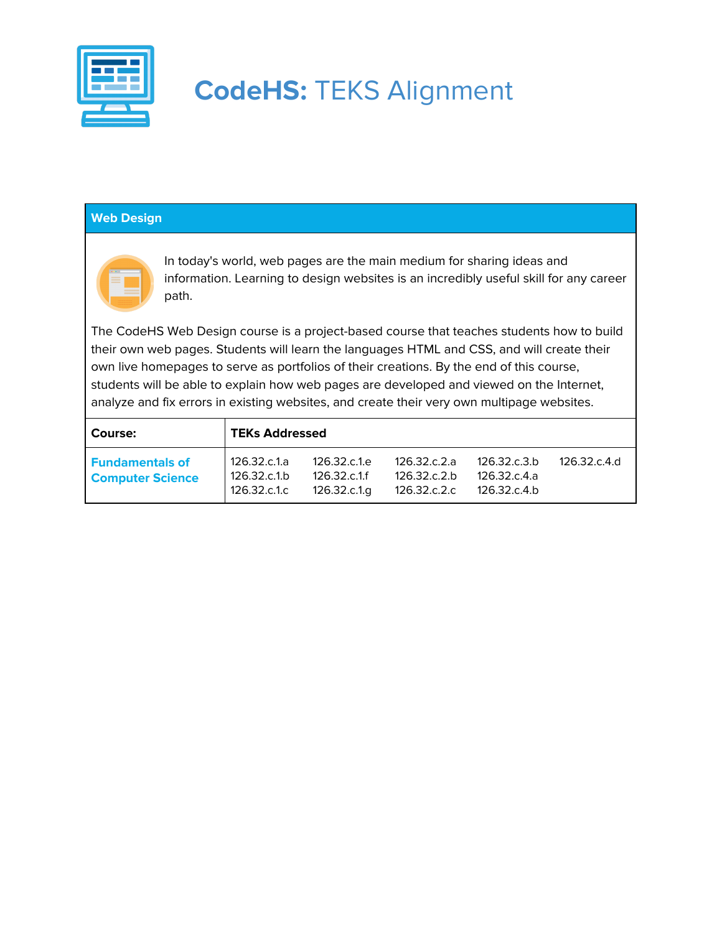

### **Web Design**



In today's world, web pages are the main medium for sharing ideas and information. Learning to design websites is an incredibly useful skill for any career path.

The CodeHS Web Design course is a project-based course that teaches students how to build their own web pages. Students will learn the languages HTML and CSS, and will create their own live homepages to serve as portfolios of their creations. By the end of this course, students will be able to explain how web pages are developed and viewed on the Internet, analyze and fix errors in existing websites, and create their very own multipage websites.

| <b>Course:</b>                                    | TEKs Addressed                                          |                                              |                                              |                                              |              |  |
|---------------------------------------------------|---------------------------------------------------------|----------------------------------------------|----------------------------------------------|----------------------------------------------|--------------|--|
| <b>Fundamentals of</b><br><b>Computer Science</b> | 126.32.c.1.a<br>126.32.c.1 <sub>b</sub><br>126.32.c.1.c | 126.32.c.1.e<br>126.32.c.1.f<br>126.32.c.1.g | 126.32.c.2.a<br>126.32.c.2.b<br>126.32.c.2.c | 126.32.c.3.b<br>126.32.c.4.a<br>126.32.c.4.b | 126.32.c.4.d |  |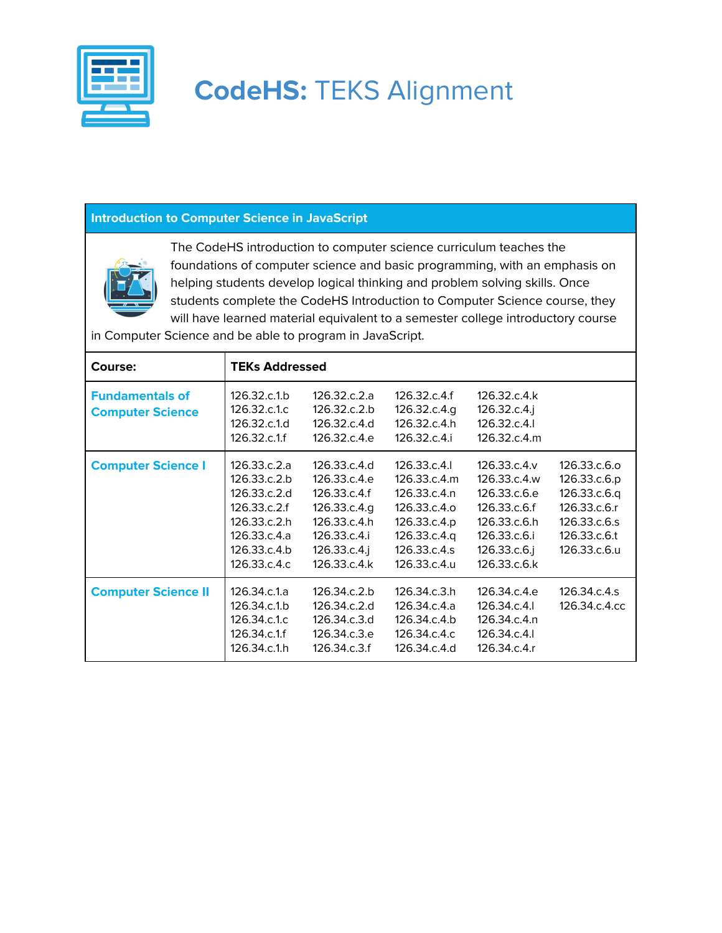

### **Introduction to Computer Science in JavaScript**



The CodeHS introduction to computer science curriculum teaches the foundations of computer science and basic programming, with an emphasis on helping students develop logical thinking and problem solving skills. Once students complete the CodeHS Introduction to Computer Science course, they will have learned material equivalent to a semester college introductory course

in Computer Science and be able to program in JavaScript.

| Course:                                           | <b>TEKs Addressed</b>                                                                                                        |                                                                                                                              |                                                                                                                              |                                                                                                                              |                                                                                                              |
|---------------------------------------------------|------------------------------------------------------------------------------------------------------------------------------|------------------------------------------------------------------------------------------------------------------------------|------------------------------------------------------------------------------------------------------------------------------|------------------------------------------------------------------------------------------------------------------------------|--------------------------------------------------------------------------------------------------------------|
| <b>Fundamentals of</b><br><b>Computer Science</b> | 126.32.c.1.b<br>126.32.c.1.c<br>126.32.c.1.d<br>126.32.c.1.f                                                                 | 126.32.c.2.a<br>126.32.c.2.b<br>126.32.c.4.d<br>126.32.c.4.e                                                                 | 126.32.c.4.f<br>126.32.c.4.g<br>126.32.c.4.h<br>126.32.c.4.i                                                                 | 126.32.c.4.k<br>$126.32.c.4.$ j<br>126.32.c.4.<br>126.32.c.4.m                                                               |                                                                                                              |
| <b>Computer Science I</b>                         | 126.33.c.2.a<br>126.33.c.2.b<br>126.33.c.2.d<br>126.33.c.2.f<br>126.33.c.2.h<br>126.33.c.4.a<br>126.33.c.4.b<br>126.33.c.4.c | 126.33.c.4.d<br>126.33.c.4.e<br>126.33.c.4.f<br>126.33.c.4.g<br>126.33.c.4.h<br>126.33.c.4.i<br>126.33.c.4.j<br>126.33.c.4.k | 126.33.c.4.l<br>126.33.c.4.m<br>126.33.c.4.n<br>126.33.c.4.o<br>126.33.c.4.p<br>126.33.c.4.q<br>126.33.c.4.s<br>126.33.c.4.u | 126.33.c.4.y<br>126.33.c.4.w<br>126.33.c.6.e<br>126.33.c.6.f<br>126.33.c.6.h<br>126.33.c.6.i<br>126.33.c.6.j<br>126.33.c.6.k | 126.33.c.6.o<br>126.33.c.6.p<br>126.33.c.6.q<br>126.33.c.6.r<br>126.33.c.6.s<br>126.33.c.6.t<br>126.33.c.6.u |
| <b>Computer Science II</b>                        | 126.34.c.1.a<br>126.34.c.1.b<br>126.34.c.1.c<br>126.34.c.1f<br>126.34.c.1.h                                                  | 126.34.c.2.b<br>126.34.c.2.d<br>126.34.c.3.d<br>126.34.c.3.e<br>126.34.c.3.f                                                 | 126.34.c.3.h<br>126.34.c.4.a<br>126.34.c.4.b<br>126.34.c.4.c<br>126.34.c.4.d                                                 | 126.34.c.4.e<br>126.34.c.4.l<br>126.34.c.4.n<br>126.34.c.4.<br>126.34.c.4.r                                                  | 126.34.c.4.s<br>126.34.c.4.cc                                                                                |